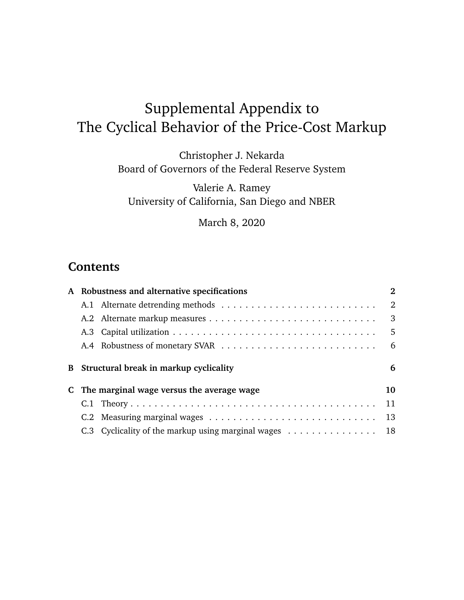# <span id="page-0-0"></span>Supplemental Appendix to The Cyclical Behavior of the Price-Cost Markup

Christopher J. Nekarda Board of Governors of the Federal Reserve System

Valerie A. Ramey University of California, San Diego and NBER

March 8, 2020

### **Contents**

| A Robustness and alternative specifications | $\mathbf{2}$                             |
|---------------------------------------------|------------------------------------------|
|                                             | 2                                        |
|                                             | 3                                        |
|                                             | -5                                       |
|                                             | -6                                       |
|                                             | 6                                        |
|                                             |                                          |
| C The marginal wage versus the average wage | 10                                       |
|                                             | 11                                       |
|                                             | 13                                       |
|                                             | B Structural break in markup cyclicality |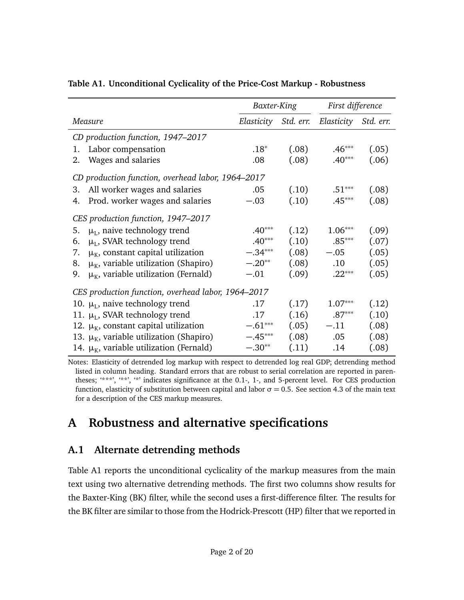|                                                    | Baxter-King |       | First difference                          |       |
|----------------------------------------------------|-------------|-------|-------------------------------------------|-------|
| Measure                                            |             |       | Elasticity Std. err. Elasticity Std. err. |       |
| CD production function, 1947-2017                  |             |       |                                           |       |
| Labor compensation<br>1.                           | $.18*$      | (.08) | $.46***$                                  | (.05) |
| Wages and salaries<br>2.                           | .08         | (.08) | $.40***$                                  | (.06) |
| CD production function, overhead labor, 1964–2017  |             |       |                                           |       |
| All worker wages and salaries<br>3.                | .05         | (.10) | $.51***$                                  | (.08) |
| Prod. worker wages and salaries<br>4.              | $-.03$      | (.10) | $.45***$                                  | (.08) |
| CES production function, 1947–2017                 |             |       |                                           |       |
| $\mu_{\rm L}$ , naive technology trend<br>5.       | $.40***$    | (.12) | $1.06***$                                 | (.09) |
| $\mu_L$ , SVAR technology trend<br>6.              | $.40***$    | (.10) | $.85***$                                  | (.07) |
| $\mu_{K}$ , constant capital utilization<br>7.     | $-.34***$   | (.08) | $-.05$                                    | (.05) |
| $\mu_{K}$ , variable utilization (Shapiro)<br>8.   | $-.20**$    | (.08) | $.10\,$                                   | (.05) |
| $\mu_{K}$ , variable utilization (Fernald)<br>9.   | $-.01$      | (.09) | $.22***$                                  | (.05) |
| CES production function, overhead labor, 1964–2017 |             |       |                                           |       |
| 10. $\mu_{\text{L}}$ , naive technology trend      | .17         | (.17) | $1.07***$                                 | (.12) |
| 11. $\mu_L$ , SVAR technology trend                | .17         | (.16) | $.87***$                                  | (.10) |
| 12. $\mu_{K}$ , constant capital utilization       | $-.61***$   | (.05) | $-.11$                                    | (.08) |
| 13. $\mu_{K}$ , variable utilization (Shapiro)     | $-.45***$   | (.08) | .05                                       | (.08) |
| 14. $\mu_{K}$ , variable utilization (Fernald)     | $-.30**$    | (.11) | .14                                       | (.08) |

#### <span id="page-1-2"></span>**Table A1. Unconditional Cyclicality of the Price-Cost Markup - Robustness**

Notes: Elasticity of detrended log markup with respect to detrended log real GDP; detrending method listed in column heading. Standard errors that are robust to serial correlation are reported in parentheses; '\*\*\*', '\*\*', '\*' indicates significance at the 0.1-, 1-, and 5-percent level. For CES production function, elasticity of substitution between capital and labor  $\sigma = 0.5$ . See section [4.3](#page-0-0) of the main text for a description of the CES markup measures.

## <span id="page-1-0"></span>**A Robustness and alternative specifications**

### <span id="page-1-1"></span>**A.1 Alternate detrending methods**

Table [A1](#page-1-2) reports the unconditional cyclicality of the markup measures from the main text using two alternative detrending methods. The first two columns show results for the Baxter-King (BK) filter, while the second uses a first-difference filter. The results for the BK filter are similar to those from the Hodrick-Prescott (HP) filter that we reported in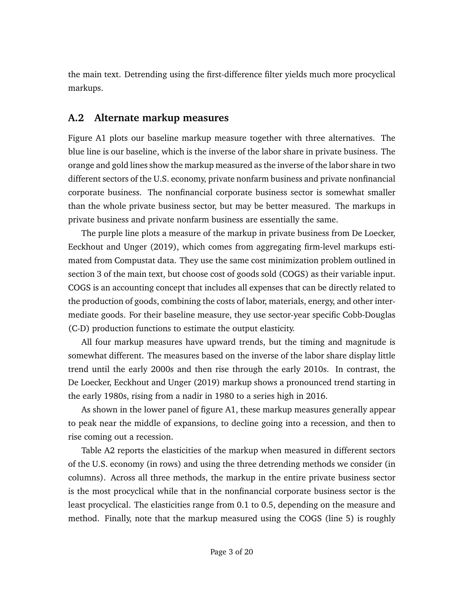the main text. Detrending using the first-difference filter yields much more procyclical markups.

#### <span id="page-2-0"></span>**A.2 Alternate markup measures**

Figure [A1](#page-3-0) plots our baseline markup measure together with three alternatives. The blue line is our baseline, which is the inverse of the labor share in private business. The orange and gold lines show the markup measured as the inverse of the labor share in two different sectors of the U.S. economy, private nonfarm business and private nonfinancial corporate business. The nonfinancial corporate business sector is somewhat smaller than the whole private business sector, but may be better measured. The markups in private business and private nonfarm business are essentially the same.

The purple line plots a measure of the markup in private business from [De Loecker,](#page-18-0) [Eeckhout and Unger](#page-18-0) [\(2019\)](#page-18-0), which comes from aggregating firm-level markups estimated from Compustat data. They use the same cost minimization problem outlined in section 3 of the main text, but choose cost of goods sold (COGS) as their variable input. COGS is an accounting concept that includes all expenses that can be directly related to the production of goods, combining the costs of labor, materials, energy, and other intermediate goods. For their baseline measure, they use sector-year specific Cobb-Douglas (C-D) production functions to estimate the output elasticity.

All four markup measures have upward trends, but the timing and magnitude is somewhat different. The measures based on the inverse of the labor share display little trend until the early 2000s and then rise through the early 2010s. In contrast, the [De Loecker, Eeckhout and Unger](#page-18-0) [\(2019\)](#page-18-0) markup shows a pronounced trend starting in the early 1980s, rising from a nadir in 1980 to a series high in 2016.

As shown in the lower panel of figure [A1,](#page-3-0) these markup measures generally appear to peak near the middle of expansions, to decline going into a recession, and then to rise coming out a recession.

Table [A2](#page-4-1) reports the elasticities of the markup when measured in different sectors of the U.S. economy (in rows) and using the three detrending methods we consider (in columns). Across all three methods, the markup in the entire private business sector is the most procyclical while that in the nonfinancial corporate business sector is the least procyclical. The elasticities range from 0.1 to 0.5, depending on the measure and method. Finally, note that the markup measured using the COGS (line 5) is roughly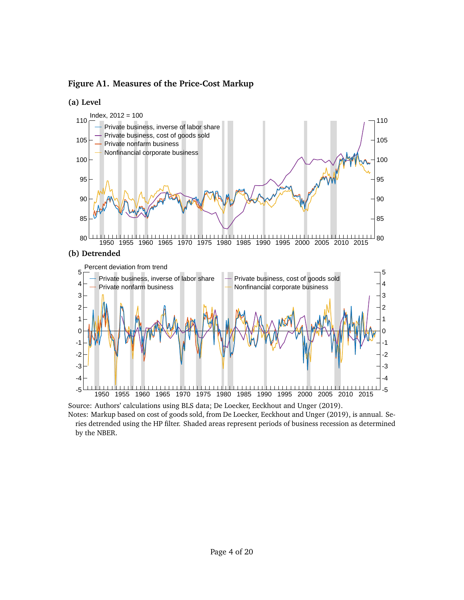<span id="page-3-0"></span>**Figure A1. Measures of the Price-Cost Markup**





Notes: Markup based on cost of goods sold, from [De Loecker, Eeckhout and Unger](#page-18-0) [\(2019\)](#page-18-0), is annual. Series detrended using the HP filter. Shaded areas represent periods of business recession as determined by the NBER.

-4  $-3$   $-1$   $-1$   $-1$   $-1$   $-1$   $-1$ -2 ון שאמי לשיר לא איר לעמוד שונות והיה של האיר לא היה של היה היה ב 0 H<del>erry New York Was Alleged Art and Alleged Art and Art and Art and Art and Art and Art and Art and Art and A</del>

Source: Authors' calculations using BLS data; [De Loecker, Eeckhout and Unger](#page-18-0) [\(2019\)](#page-18-0).

-5 1950 1955 1960 1965 1970 1975 1980 1985 1990 1995 2000 2005 2010 2015

-5 -4 -3 -2 -1 0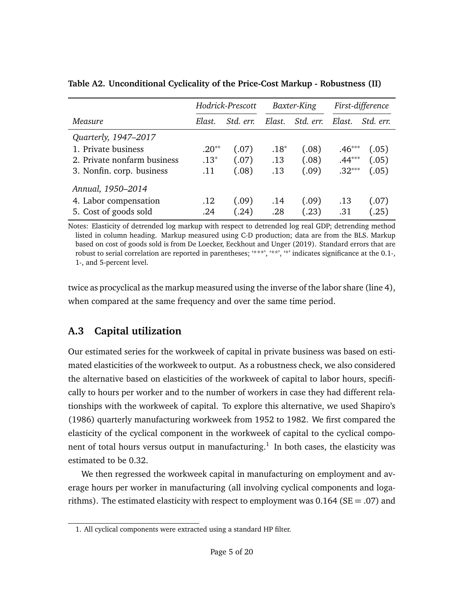|                             | Hodrick-Prescott |           | Baxter-King |           | First-difference |           |
|-----------------------------|------------------|-----------|-------------|-----------|------------------|-----------|
| Measure                     | Elast.           | Std. err. | Elast.      | Std. err. | Elast.           | Std. err. |
| Quarterly, 1947-2017        |                  |           |             |           |                  |           |
| 1. Private business         | $.20**$          | (.07)     | $.18*$      | (.08)     | $.46***$         | (.05)     |
| 2. Private nonfarm business | $.13*$           | (.07)     | .13         | (.08)     | $.44***$         | (.05)     |
| 3. Nonfin. corp. business   | .11              | (.08)     | .13         | (.09)     | $.32***$         | (.05)     |
| Annual, 1950-2014           |                  |           |             |           |                  |           |
| 4. Labor compensation       | .12              | (.09)     | .14         | (.09)     | .13              | (.07)     |
| 5. Cost of goods sold       | .24              | (.24)     | .28         | (.23)     | .31              | (.25)     |

<span id="page-4-1"></span>**Table A2. Unconditional Cyclicality of the Price-Cost Markup - Robustness (II)**

Notes: Elasticity of detrended log markup with respect to detrended log real GDP; detrending method listed in column heading. Markup measured using C-D production; data are from the BLS. Markup based on cost of goods sold is from [De Loecker, Eeckhout and Unger](#page-18-0) [\(2019\)](#page-18-0). Standard errors that are robust to serial correlation are reported in parentheses; '\*\*\*', '\*\*', '\*' indicates significance at the 0.1-, 1-, and 5-percent level.

twice as procyclical as the markup measured using the inverse of the labor share (line 4), when compared at the same frequency and over the same time period.

### <span id="page-4-0"></span>**A.3 Capital utilization**

Our estimated series for the workweek of capital in private business was based on estimated elasticities of the workweek to output. As a robustness check, we also considered the alternative based on elasticities of the workweek of capital to labor hours, specifically to hours per worker and to the number of workers in case they had different relationships with the workweek of capital. To explore this alternative, we used [Shapiro'](#page-19-1)s [\(1986\)](#page-19-1) quarterly manufacturing workweek from 1952 to 1982. We first compared the elasticity of the cyclical component in the workweek of capital to the cyclical compo-nent of total hours versus output in manufacturing.<sup>[1](#page-4-2)</sup> In both cases, the elasticity was estimated to be 0.32.

We then regressed the workweek capital in manufacturing on employment and average hours per worker in manufacturing (all involving cyclical components and logarithms). The estimated elasticity with respect to employment was  $0.164$  (SE = .07) and

<span id="page-4-2"></span><sup>1.</sup> All cyclical components were extracted using a standard HP filter.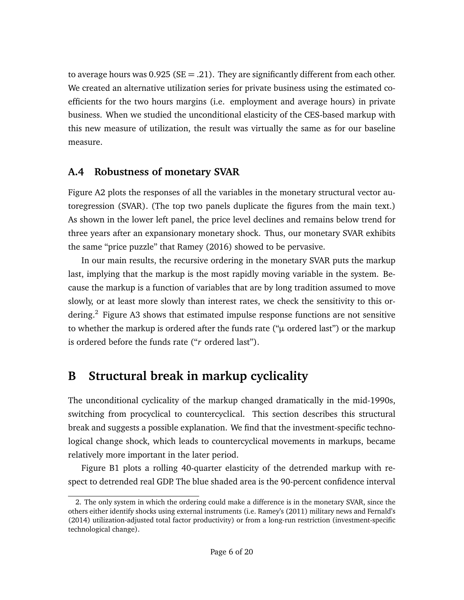to average hours was  $0.925$  (SE = .21). They are significantly different from each other. We created an alternative utilization series for private business using the estimated coefficients for the two hours margins (i.e. employment and average hours) in private business. When we studied the unconditional elasticity of the CES-based markup with this new measure of utilization, the result was virtually the same as for our baseline measure.

#### <span id="page-5-0"></span>**A.4 Robustness of monetary SVAR**

Figure [A2](#page-6-0) plots the responses of all the variables in the monetary structural vector autoregression (SVAR). (The top two panels duplicate the figures from the main text.) As shown in the lower left panel, the price level declines and remains below trend for three years after an expansionary monetary shock. Thus, our monetary SVAR exhibits the same "price puzzle" that [Ramey](#page-19-2) [\(2016\)](#page-19-2) showed to be pervasive.

In our main results, the recursive ordering in the monetary SVAR puts the markup last, implying that the markup is the most rapidly moving variable in the system. Because the markup is a function of variables that are by long tradition assumed to move slowly, or at least more slowly than interest rates, we check the sensitivity to this or-dering.<sup>[2](#page-5-2)</sup> Figure [A3](#page-7-0) shows that estimated impulse response functions are not sensitive to whether the markup is ordered after the funds rate ("*µ* ordered last") or the markup is ordered before the funds rate ("*r* ordered last").

## <span id="page-5-1"></span>**B Structural break in markup cyclicality**

The unconditional cyclicality of the markup changed dramatically in the mid-1990s, switching from procyclical to countercyclical. This section describes this structural break and suggests a possible explanation. We find that the investment-specific technological change shock, which leads to countercyclical movements in markups, became relatively more important in the later period.

Figure [B1](#page-8-0) plots a rolling 40-quarter elasticity of the detrended markup with respect to detrended real GDP. The blue shaded area is the 90-percent confidence interval

<span id="page-5-2"></span><sup>2.</sup> The only system in which the ordering could make a difference is in the monetary SVAR, since the others either identify shocks using external instruments (i.e. [Ramey'](#page-19-3)s [\(2011\)](#page-19-3) military news and [Fernald'](#page-18-1)s [\(2014\)](#page-18-1) utilization-adjusted total factor productivity) or from a long-run restriction (investment-specific technological change).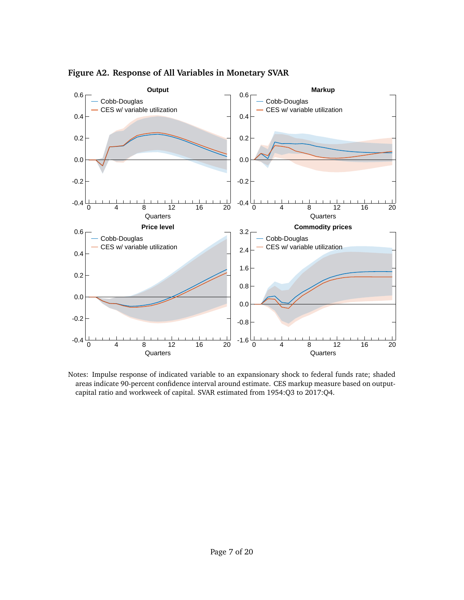

<span id="page-6-0"></span>**Figure A2. Response of All Variables in Monetary SVAR**

Notes: Impulse response of indicated variable to an expansionary shock to federal funds rate; shaded areas indicate 90-percent confidence interval around estimate. CES markup measure based on outputcapital ratio and workweek of capital. SVAR estimated from 1954:Q3 to 2017:Q4.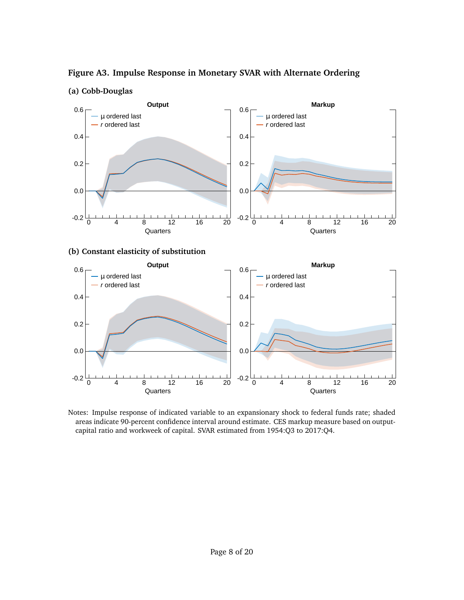

<span id="page-7-0"></span>**Figure A3. Impulse Response in Monetary SVAR with Alternate Ordering**





Notes: Impulse response of indicated variable to an expansionary shock to federal funds rate; shaded areas indicate 90-percent confidence interval around estimate. CES markup measure based on outputcapital ratio and workweek of capital. SVAR estimated from 1954:Q3 to 2017:Q4.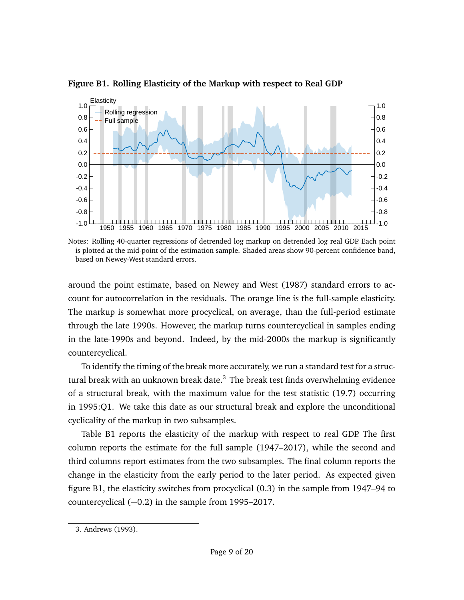

<span id="page-8-0"></span>**Figure B1. Rolling Elasticity of the Markup with respect to Real GDP**

Notes: Rolling 40-quarter regressions of detrended log markup on detrended log real GDP. Each point is plotted at the mid-point of the estimation sample. Shaded areas show 90-percent confidence band, based on Newey-West standard errors.

around the point estimate, based on [Newey and West](#page-18-2) [\(1987\)](#page-18-2) standard errors to account for autocorrelation in the residuals. The orange line is the full-sample elasticity. The markup is somewhat more procyclical, on average, than the full-period estimate through the late 1990s. However, the markup turns countercyclical in samples ending in the late-1990s and beyond. Indeed, by the mid-2000s the markup is significantly countercyclical.

To identify the timing of the break more accurately, we run a standard test for a struc-tural break with an unknown break date.<sup>[3](#page-8-1)</sup> The break test finds overwhelming evidence of a structural break, with the maximum value for the test statistic (19.7) occurring in 1995:Q1. We take this date as our structural break and explore the unconditional cyclicality of the markup in two subsamples.

Table [B1](#page-9-1) reports the elasticity of the markup with respect to real GDP. The first column reports the estimate for the full sample (1947–2017), while the second and third columns report estimates from the two subsamples. The final column reports the change in the elasticity from the early period to the later period. As expected given figure [B1,](#page-8-0) the elasticity switches from procyclical (0.3) in the sample from 1947–94 to countercyclical (−0.2) in the sample from 1995–2017.

<span id="page-8-1"></span><sup>3.</sup> [Andrews](#page-18-3) [\(1993\)](#page-18-3).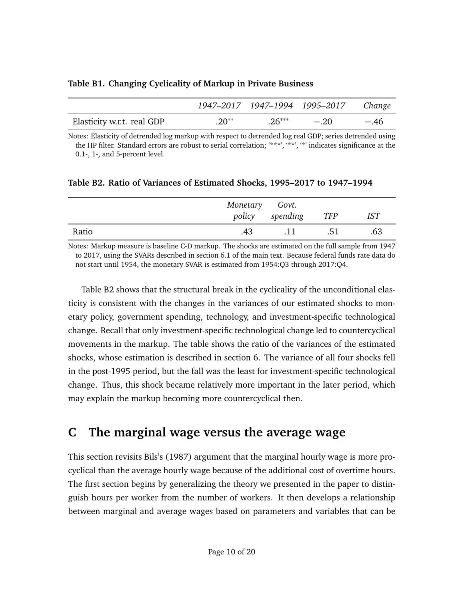<span id="page-9-1"></span>

|  |  |  | Table B1. Changing Cyclicality of Markup in Private Business |  |  |
|--|--|--|--------------------------------------------------------------|--|--|
|--|--|--|--------------------------------------------------------------|--|--|

|                            |         |          | 1947–2017 1947–1994 1995–2017 Change |        |
|----------------------------|---------|----------|--------------------------------------|--------|
| Elasticity w.r.t. real GDP | $.20**$ | $.26***$ | $-.20$                               | $-.46$ |

Notes: Elasticity of detrended log markup with respect to detrended log real GDP; series detrended using the HP filter. Standard errors are robust to serial correlation; '\*\*\*', '\*\*', '\*' indicates significance at the 0.1-, 1-, and 5-percent level.

|       | Monetary Govt. | policy spending | TFP | <b>IST</b> |
|-------|----------------|-----------------|-----|------------|
| Ratio | .43            | .11             | .51 | .63        |

<span id="page-9-2"></span>**Table B2. Ratio of Variances of Estimated Shocks, 1995–2017 to 1947–1994**

Notes: Markup measure is baseline C-D markup. The shocks are estimated on the full sample from 1947 to 2017, using the SVARs described in section [6.1](#page-0-0) of the main text. Because federal funds rate data do not start until 1954, the monetary SVAR is estimated from 1954:Q3 through 2017:Q4.

Table [B2](#page-9-2) shows that the structural break in the cyclicality of the unconditional elasticity is consistent with the changes in the variances of our estimated shocks to monetary policy, government spending, technology, and investment-specific technological change. Recall that only investment-specific technological change led to countercyclical movements in the markup. The table shows the ratio of the variances of the estimated shocks, whose estimation is described in section [6.](#page-0-0) The variance of all four shocks fell in the post-1995 period, but the fall was the least for investment-specific technological change. Thus, this shock became relatively more important in the later period, which may explain the markup becoming more countercyclical then.

## <span id="page-9-0"></span>**C The marginal wage versus the average wage**

This section revisits [Bils'](#page-18-4)s [\(1987\)](#page-18-4) argument that the marginal hourly wage is more procyclical than the average hourly wage because of the additional cost of overtime hours. The first section begins by generalizing the theory we presented in the paper to distinguish hours per worker from the number of workers. It then develops a relationship between marginal and average wages based on parameters and variables that can be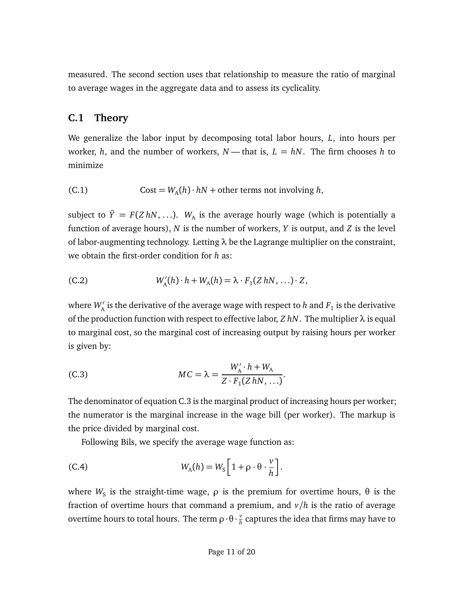measured. The second section uses that relationship to measure the ratio of marginal to average wages in the aggregate data and to assess its cyclicality.

#### <span id="page-10-0"></span>**C.1 Theory**

We generalize the labor input by decomposing total labor hours, *L*, into hours per worker, *h*, and the number of workers,  $N$  — that is,  $L = hN$ . The firm chooses *h* to minimize

(C.1) Cost =  $W_A(h) \cdot hN$  + other terms not involving *h*,

subject to  $\bar{Y} = F(Z \, hN, \ldots)$ .  $W_A$  is the average hourly wage (which is potentially a function of average hours), *N* is the number of workers, *Y* is output, and *Z* is the level of labor-augmenting technology. Letting *λ* be the Lagrange multiplier on the constraint, we obtain the first-order condition for *h* as:

(C.2) 
$$
W'_{A}(h) \cdot h + W_{A}(h) = \lambda \cdot F_{1}(Z h N, \ldots) \cdot Z,
$$

where  $W_{\!A}'$  is the derivative of the average wage with respect to  $h$  and  $F_1$  is the derivative of the production function with respect to effective labor, *Z hN*. The multiplier *λ* is equal to marginal cost, so the marginal cost of increasing output by raising hours per worker is given by:

<span id="page-10-1"></span>(C.3) 
$$
MC = \lambda = \frac{W_{A}' \cdot h + W_{A}}{Z \cdot F_{1}(Z h N, \ldots)}.
$$

The denominator of equation [C.3](#page-10-1) is the marginal product of increasing hours per worker; the numerator is the marginal increase in the wage bill (per worker). The markup is the price divided by marginal cost.

Following Bils, we specify the average wage function as:

(C.4) 
$$
W_{A}(h) = W_{S}\left[1 + \rho \cdot \theta \cdot \frac{\nu}{h}\right].
$$

where  $W_{\textrm{S}}$  is the straight-time wage,  $\rho$  is the premium for overtime hours,  $\theta$  is the fraction of overtime hours that command a premium, and  $v/h$  is the ratio of average overtime hours to total hours. The term *ρ*·*θ* · *v*  $\frac{\nu}{h}$  captures the idea that firms may have to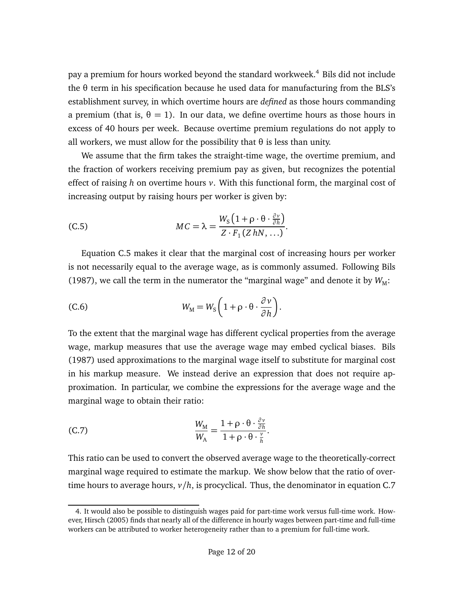pay a premium for hours worked beyond the standard workweek.<sup>[4](#page-11-0)</sup> Bils did not include the *θ* term in his specification because he used data for manufacturing from the BLS's establishment survey, in which overtime hours are *defined* as those hours commanding a premium (that is,  $\theta = 1$ ). In our data, we define overtime hours as those hours in excess of 40 hours per week. Because overtime premium regulations do not apply to all workers, we must allow for the possibility that  $\theta$  is less than unity.

We assume that the firm takes the straight-time wage, the overtime premium, and the fraction of workers receiving premium pay as given, but recognizes the potential effect of raising *h* on overtime hours *v*. With this functional form, the marginal cost of increasing output by raising hours per worker is given by:

<span id="page-11-1"></span>(C.5) 
$$
MC = \lambda = \frac{W_{S} (1 + \rho \cdot \theta \cdot \frac{\partial v}{\partial h})}{Z \cdot F_{1} (Z h N, \ldots)}.
$$

Equation [C.5](#page-11-1) makes it clear that the marginal cost of increasing hours per worker is not necessarily equal to the average wage, as is commonly assumed. Following [Bils](#page-18-4) [\(1987\)](#page-18-4), we call the term in the numerator the "marginal wage" and denote it by  $W_M$ :

(C.6) 
$$
W_{\text{M}} = W_{\text{S}} \left( 1 + \rho \cdot \theta \cdot \frac{\partial v}{\partial h} \right).
$$

To the extent that the marginal wage has different cyclical properties from the average wage, markup measures that use the average wage may embed cyclical biases. [Bils](#page-18-4) [\(1987\)](#page-18-4) used approximations to the marginal wage itself to substitute for marginal cost in his markup measure. We instead derive an expression that does not require approximation. In particular, we combine the expressions for the average wage and the marginal wage to obtain their ratio:

<span id="page-11-2"></span>(C.7) 
$$
\frac{W_{\rm M}}{W_{\rm A}} = \frac{1 + \rho \cdot \theta \cdot \frac{\partial v}{\partial h}}{1 + \rho \cdot \theta \cdot \frac{v}{h}}.
$$

This ratio can be used to convert the observed average wage to the theoretically-correct marginal wage required to estimate the markup. We show below that the ratio of overtime hours to average hours, *v/h*, is procyclical. Thus, the denominator in equation [C.7](#page-11-2)

<span id="page-11-0"></span><sup>4.</sup> It would also be possible to distinguish wages paid for part-time work versus full-time work. However, [Hirsch](#page-18-5) [\(2005\)](#page-18-5) finds that nearly all of the difference in hourly wages between part-time and full-time workers can be attributed to worker heterogeneity rather than to a premium for full-time work.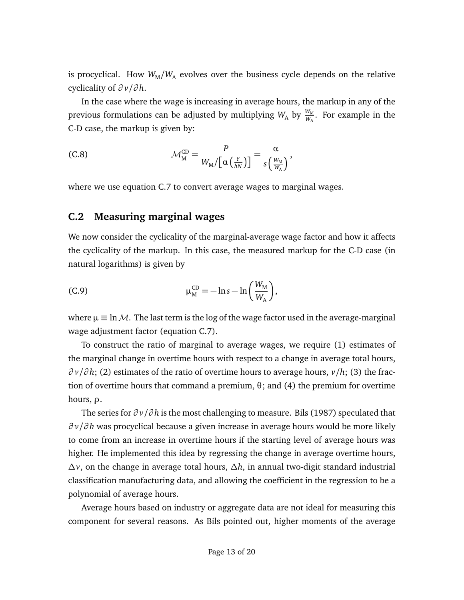is procyclical. How  $W_M/W_A$  evolves over the business cycle depends on the relative cyclicality of *∂ v/∂ h*.

In the case where the wage is increasing in average hours, the markup in any of the previous formulations can be adjusted by multiplying  $W_{\mathrm{A}}$  by  $\frac{W_{\mathrm{M}}}{W_{\mathrm{A}}}$ . For example in the C-D case, the markup is given by:

(C.8) 
$$
\mathcal{M}_{\mathcal{M}}^{\mathcal{CD}} = \frac{P}{W_{\mathcal{M}}/[\alpha \left( \frac{Y}{hN} \right)]} = \frac{\alpha}{s \left( \frac{W_{\mathcal{M}}}{W_{\mathcal{A}}} \right)},
$$

where we use equation [C.7](#page-11-2) to convert average wages to marginal wages.

#### <span id="page-12-0"></span>**C.2 Measuring marginal wages**

We now consider the cyclicality of the marginal-average wage factor and how it affects the cyclicality of the markup. In this case, the measured markup for the C-D case (in natural logarithms) is given by

(C.9) 
$$
\mu_{\rm M}^{\rm CD} = -\ln s - \ln\left(\frac{W_{\rm M}}{W_{\rm A}}\right),
$$

where  $\mu \equiv \ln M$ . The last term is the log of the wage factor used in the average-marginal wage adjustment factor (equation [C.7\)](#page-11-2).

To construct the ratio of marginal to average wages, we require (1) estimates of the marginal change in overtime hours with respect to a change in average total hours, *∂ v/∂ h*; (2) estimates of the ratio of overtime hours to average hours, *v/h*; (3) the fraction of overtime hours that command a premium, *θ*; and (4) the premium for overtime hours, *ρ*.

The series for *∂ v/∂ h* is the most challenging to measure. [Bils](#page-18-4) [\(1987\)](#page-18-4) speculated that *∂ v/∂ h* was procyclical because a given increase in average hours would be more likely to come from an increase in overtime hours if the starting level of average hours was higher. He implemented this idea by regressing the change in average overtime hours, *∆v*, on the change in average total hours, *∆h*, in annual two-digit standard industrial classification manufacturing data, and allowing the coefficient in the regression to be a polynomial of average hours.

Average hours based on industry or aggregate data are not ideal for measuring this component for several reasons. As Bils pointed out, higher moments of the average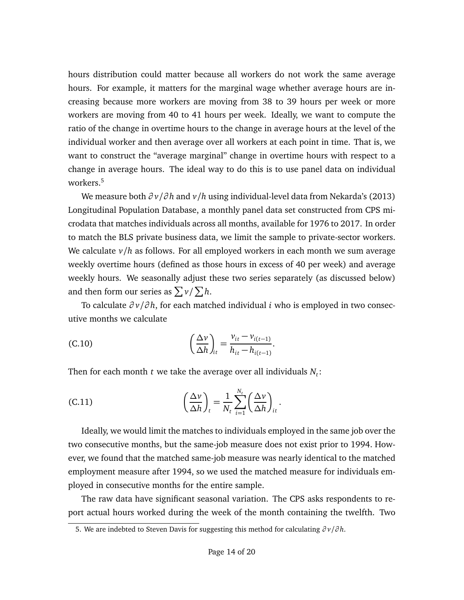hours distribution could matter because all workers do not work the same average hours. For example, it matters for the marginal wage whether average hours are increasing because more workers are moving from 38 to 39 hours per week or more workers are moving from 40 to 41 hours per week. Ideally, we want to compute the ratio of the change in overtime hours to the change in average hours at the level of the individual worker and then average over all workers at each point in time. That is, we want to construct the "average marginal" change in overtime hours with respect to a change in average hours. The ideal way to do this is to use panel data on individual workers.<sup>[5](#page-13-0)</sup>

We measure both *∂ v/∂ h* and *v/h* using individual-level data from [Nekarda'](#page-18-6)s [\(2013\)](#page-18-6) Longitudinal Population Database, a monthly panel data set constructed from CPS microdata that matches individuals across all months, available for 1976 to 2017. In order to match the BLS private business data, we limit the sample to private-sector workers. We calculate *v/h* as follows. For all employed workers in each month we sum average weekly overtime hours (defined as those hours in excess of 40 per week) and average weekly hours. We seasonally adjust these two series separately (as discussed below) and then form our series as  $\sum v/\sum h$ .

To calculate *∂ v/∂ h*, for each matched individual *i* who is employed in two consecutive months we calculate

(C.10) 
$$
\left(\frac{\Delta v}{\Delta h}\right)_{it} = \frac{v_{it} - v_{i(t-1)}}{h_{it} - h_{i(t-1)}}.
$$

Then for each month  $t$  we take the average over all individuals  $N_t$ :

(C.11) 
$$
\left(\frac{\Delta v}{\Delta h}\right)_t = \frac{1}{N_t} \sum_{i=1}^{N_t} \left(\frac{\Delta v}{\Delta h}\right)_{it}.
$$

Ideally, we would limit the matches to individuals employed in the same job over the two consecutive months, but the same-job measure does not exist prior to 1994. However, we found that the matched same-job measure was nearly identical to the matched employment measure after 1994, so we used the matched measure for individuals employed in consecutive months for the entire sample.

The raw data have significant seasonal variation. The CPS asks respondents to report actual hours worked during the week of the month containing the twelfth. Two

<span id="page-13-0"></span><sup>5.</sup> We are indebted to Steven Davis for suggesting this method for calculating *∂ v/∂ h*.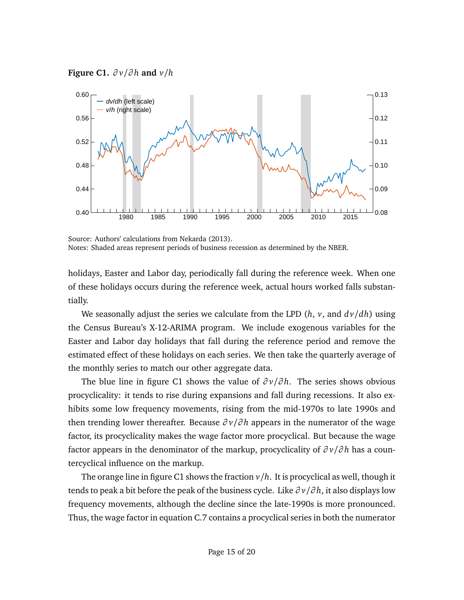<span id="page-14-0"></span>



Source: Authors' calculations from [Nekarda](#page-18-6) [\(2013\)](#page-18-6). Notes: Shaded areas represent periods of business recession as determined by the NBER.

holidays, Easter and Labor day, periodically fall during the reference week. When one of these holidays occurs during the reference week, actual hours worked falls substantially.

We seasonally adjust the series we calculate from the LPD  $(h, v, \text{ and } dv/dh)$  using the Census Bureau's X-12-ARIMA program. We include exogenous variables for the Easter and Labor day holidays that fall during the reference period and remove the estimated effect of these holidays on each series. We then take the quarterly average of the monthly series to match our other aggregate data.

The blue line in figure [C1](#page-14-0) shows the value of *∂ v/∂ h*. The series shows obvious procyclicality: it tends to rise during expansions and fall during recessions. It also exhibits some low frequency movements, rising from the mid-1970s to late 1990s and then trending lower thereafter. Because *∂ v/∂ h* appears in the numerator of the wage factor, its procyclicality makes the wage factor more procyclical. But because the wage factor appears in the denominator of the markup, procyclicality of *∂ v/∂ h* has a countercyclical influence on the markup.

The orange line in figure [C1](#page-14-0) shows the fraction  $v/h$ . It is procyclical as well, though it tends to peak a bit before the peak of the business cycle. Like *∂ v/∂ h*, it also displays low frequency movements, although the decline since the late-1990s is more pronounced. Thus, the wage factor in equation [C.7](#page-11-2) contains a procyclical series in both the numerator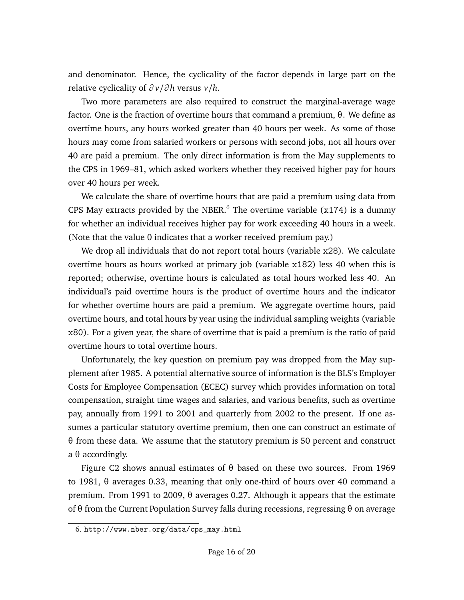and denominator. Hence, the cyclicality of the factor depends in large part on the relative cyclicality of *∂ v/∂ h* versus *v/h*.

Two more parameters are also required to construct the marginal-average wage factor. One is the fraction of overtime hours that command a premium, *θ*. We define as overtime hours, any hours worked greater than 40 hours per week. As some of those hours may come from salaried workers or persons with second jobs, not all hours over 40 are paid a premium. The only direct information is from the May supplements to the CPS in 1969–81, which asked workers whether they received higher pay for hours over 40 hours per week.

We calculate the share of overtime hours that are paid a premium using data from CPS May extracts provided by the NBER.<sup>[6](#page-15-0)</sup> The overtime variable ( $x174$ ) is a dummy for whether an individual receives higher pay for work exceeding 40 hours in a week. (Note that the value 0 indicates that a worker received premium pay.)

We drop all individuals that do not report total hours (variable x28). We calculate overtime hours as hours worked at primary job (variable x182) less 40 when this is reported; otherwise, overtime hours is calculated as total hours worked less 40. An individual's paid overtime hours is the product of overtime hours and the indicator for whether overtime hours are paid a premium. We aggregate overtime hours, paid overtime hours, and total hours by year using the individual sampling weights (variable x80). For a given year, the share of overtime that is paid a premium is the ratio of paid overtime hours to total overtime hours.

Unfortunately, the key question on premium pay was dropped from the May supplement after 1985. A potential alternative source of information is the BLS's Employer Costs for Employee Compensation (ECEC) survey which provides information on total compensation, straight time wages and salaries, and various benefits, such as overtime pay, annually from 1991 to 2001 and quarterly from 2002 to the present. If one assumes a particular statutory overtime premium, then one can construct an estimate of *θ* from these data. We assume that the statutory premium is 50 percent and construct a *θ* accordingly.

Figure [C2](#page-16-0) shows annual estimates of *θ* based on these two sources. From 1969 to 1981, *θ* averages 0.33, meaning that only one-third of hours over 40 command a premium. From 1991 to 2009, *θ* averages 0.27. Although it appears that the estimate of *θ* from the Current Population Survey falls during recessions, regressing *θ* on average

<span id="page-15-0"></span><sup>6.</sup> [http://www.nber.org/data/cps\\_may.html](http://www.nber.org/data/cps_may.html)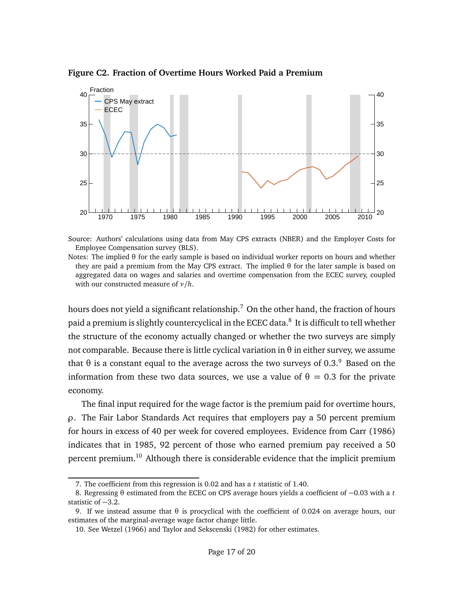<span id="page-16-0"></span>**Figure C2. Fraction of Overtime Hours Worked Paid a Premium**



Source: Authors' calculations using data from May CPS extracts (NBER) and the Employer Costs for Employee Compensation survey (BLS).

Notes: The implied *θ* for the early sample is based on individual worker reports on hours and whether they are paid a premium from the May CPS extract. The implied *θ* for the later sample is based on aggregated data on wages and salaries and overtime compensation from the ECEC survey, coupled with our constructed measure of *v/h*.

hours does not yield a significant relationship.<sup>[7](#page-16-1)</sup> On the other hand, the fraction of hours paid a premium is slightly countercyclical in the ECEC data.<sup>[8](#page-16-2)</sup> It is difficult to tell whether the structure of the economy actually changed or whether the two surveys are simply not comparable. Because there is little cyclical variation in *θ* in either survey, we assume that  $\theta$  is a constant equal to the average across the two surveys of 0.3.<sup>[9](#page-16-3)</sup> Based on the information from these two data sources, we use a value of  $θ = 0.3$  for the private economy.

The final input required for the wage factor is the premium paid for overtime hours, *ρ*. The Fair Labor Standards Act requires that employers pay a 50 percent premium for hours in excess of 40 per week for covered employees. Evidence from [Carr](#page-18-7) [\(1986\)](#page-18-7) indicates that in 1985, 92 percent of those who earned premium pay received a 50 percent premium.<sup>[10](#page-16-4)</sup> Although there is considerable evidence that the implicit premium

<span id="page-16-2"></span><span id="page-16-1"></span><sup>7.</sup> The coefficient from this regression is 0.02 and has a *t* statistic of 1.40.

<sup>8.</sup> Regressing *θ* estimated from the ECEC on CPS average hours yields a coefficient of −0.03 with a *t* statistic of −3.2.

<span id="page-16-3"></span><sup>9.</sup> If we instead assume that *θ* is procyclical with the coefficient of 0.024 on average hours, our estimates of the marginal-average wage factor change little.

<span id="page-16-4"></span><sup>10.</sup> See [Wetzel](#page-19-4) [\(1966\)](#page-19-4) and [Taylor and Sekscenski](#page-19-5) [\(1982\)](#page-19-5) for other estimates.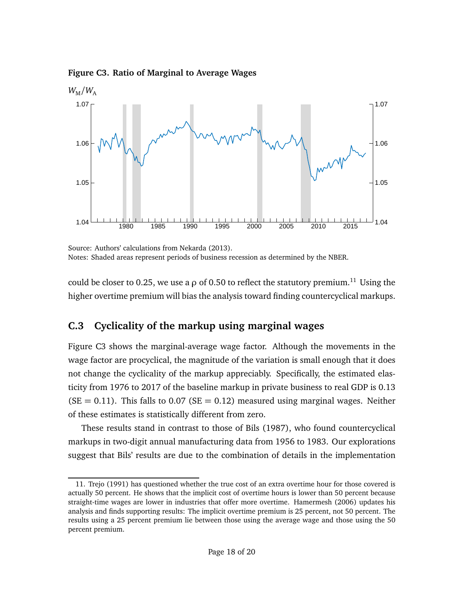<span id="page-17-2"></span>**Figure C3. Ratio of Marginal to Average Wages**



Source: Authors' calculations from [Nekarda](#page-18-6) [\(2013\)](#page-18-6). Notes: Shaded areas represent periods of business recession as determined by the NBER.

could be closer to 0.25, we use a  $\rho$  of 0.50 to reflect the statutory premium.<sup>[11](#page-17-1)</sup> Using the higher overtime premium will bias the analysis toward finding countercyclical markups.

### <span id="page-17-0"></span>**C.3 Cyclicality of the markup using marginal wages**

Figure [C3](#page-17-2) shows the marginal-average wage factor. Although the movements in the wage factor are procyclical, the magnitude of the variation is small enough that it does not change the cyclicality of the markup appreciably. Specifically, the estimated elasticity from 1976 to 2017 of the baseline markup in private business to real GDP is 0.13  $(SE = 0.11)$ . This falls to 0.07 ( $SE = 0.12$ ) measured using marginal wages. Neither of these estimates is statistically different from zero.

These results stand in contrast to those of [Bils](#page-18-4) [\(1987\)](#page-18-4), who found countercyclical markups in two-digit annual manufacturing data from 1956 to 1983. Our explorations suggest that Bils' results are due to the combination of details in the implementation

<span id="page-17-1"></span><sup>11.</sup> [Trejo](#page-19-6) [\(1991\)](#page-19-6) has questioned whether the true cost of an extra overtime hour for those covered is actually 50 percent. He shows that the implicit cost of overtime hours is lower than 50 percent because straight-time wages are lower in industries that offer more overtime. [Hamermesh](#page-18-8) [\(2006\)](#page-18-8) updates his analysis and finds supporting results: The implicit overtime premium is 25 percent, not 50 percent. The results using a 25 percent premium lie between those using the average wage and those using the 50 percent premium.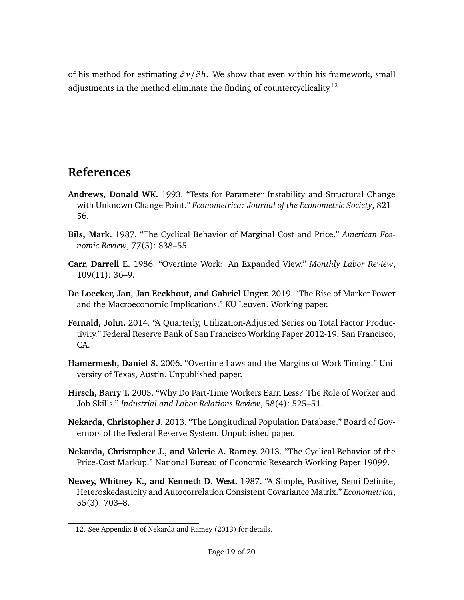of his method for estimating *∂ v/∂ h*. We show that even within his framework, small adjustments in the method eliminate the finding of countercyclicality.<sup>[12](#page-18-9)</sup>

## **References**

- <span id="page-18-3"></span>**Andrews, Donald WK.** 1993. "Tests for Parameter Instability and Structural Change with Unknown Change Point." *Econometrica: Journal of the Econometric Society*, 821– 56.
- <span id="page-18-4"></span>**Bils, Mark.** 1987. "The Cyclical Behavior of Marginal Cost and Price." *American Economic Review*, 77(5): 838–55.
- <span id="page-18-7"></span>**Carr, Darrell E.** 1986. "Overtime Work: An Expanded View." *Monthly Labor Review*, 109(11): 36–9.
- <span id="page-18-0"></span>**De Loecker, Jan, Jan Eeckhout, and Gabriel Unger.** 2019. "The Rise of Market Power and the Macroeconomic Implications." KU Leuven. Working paper.
- <span id="page-18-1"></span>**Fernald, John.** 2014. "A Quarterly, Utilization-Adjusted Series on Total Factor Productivity." Federal Reserve Bank of San Francisco Working Paper 2012-19, San Francisco, CA.
- <span id="page-18-8"></span>**Hamermesh, Daniel S.** 2006. "Overtime Laws and the Margins of Work Timing." University of Texas, Austin. Unpublished paper.
- <span id="page-18-5"></span>**Hirsch, Barry T.** 2005. "Why Do Part-Time Workers Earn Less? The Role of Worker and Job Skills." *Industrial and Labor Relations Review*, 58(4): 525–51.
- <span id="page-18-6"></span>**Nekarda, Christopher J.** 2013. "The Longitudinal Population Database." Board of Governors of the Federal Reserve System. Unpublished paper.
- <span id="page-18-10"></span>**Nekarda, Christopher J., and Valerie A. Ramey.** 2013. "The Cyclical Behavior of the Price-Cost Markup." National Bureau of Economic Research Working Paper 19099.
- <span id="page-18-2"></span>**Newey, Whitney K., and Kenneth D. West.** 1987. "A Simple, Positive, Semi-Definite, Heteroskedasticity and Autocorrelation Consistent Covariance Matrix." *Econometrica*, 55(3): 703–8.

<span id="page-18-9"></span><sup>12.</sup> See Appendix B of [Nekarda and Ramey](#page-18-10) [\(2013\)](#page-18-10) for details.